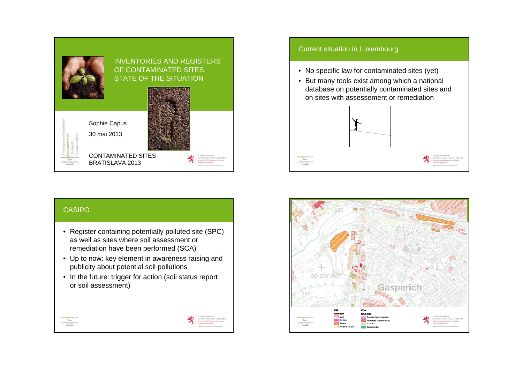

### **CASIPO**

- Register containing potentially polluted site (SPC) as well as sites where soil assessment or remediation have been performed (SCA)
- Up to now: key element in awareness raising and publicity about potential soil pollutions
- In the future: trigger for action (soil status report or soil assessment)

| <b>EXECUTE EN CONTENTATIVE</b><br>NO CRAND-DUDIÉ DE LUXEMBOURG<br>Monito Medicines<br>Administration de l'environnement |
|-------------------------------------------------------------------------------------------------------------------------|
|                                                                                                                         |

Current situation in Luxembourg • No specific law for contaminated sites (yet) • But many tools exist among which a national database on potentially contaminated sites and on sites with assessement or remediation

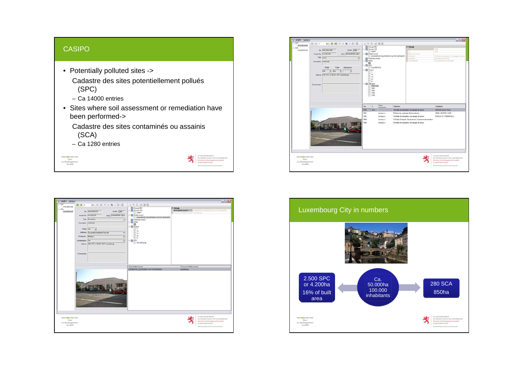#### CASIPO

Pour<br>
un développer<br>
durable

- Potentially polluted sites -> Cadastre des sites potentiellement pollués (SPC)
	- Ca 14000 entries
- Sites where soil assessment or remediation have been performed->

Cadastre des sites contaminés ou assainis (SCA)

– Ca 1280 entries

| # CASIPO - Surface                                 | 输 编2<br>$\omega$ 2 $\Rightarrow$ $\omega$ $\mid$ $\times$ $\Rightarrow$ $\omega$ $\times$ $\omega$ $\cdot$ $\omega$                                                                                                                                                                                                                              | → X G in II O                                                                                                                                                                                                                     | 느ㅁ                                                                                                                                               |
|----------------------------------------------------|--------------------------------------------------------------------------------------------------------------------------------------------------------------------------------------------------------------------------------------------------------------------------------------------------------------------------------------------------|-----------------------------------------------------------------------------------------------------------------------------------------------------------------------------------------------------------------------------------|--------------------------------------------------------------------------------------------------------------------------------------------------|
| $=$ SPC<br>SPC/05/2106<br>$\pm$ SCA<br>5CA/05/0125 | No SCA/05/0125<br>Arevie (2005)<br>Non COMMERCE EQUI<br>Ancien No Port (3320)<br>Type Restriction<br>$\star$<br>Description (Weekstalt)<br>Public CO.P.<br>$\rightarrow$<br>Méthode Escavator/talement hors site<br>Ξ<br>$\cdot$<br>Niveau att. Niveau 2<br>Contamination Our<br>$\cdot$<br>Admire 219, RTE D ESCH 1471 Luxenbourg<br>Commentare | Documer DEC<br>ŝ<br>Doctor SSC<br>50897<br>El Etabliconnent<br>COMMERCE EQUIPEMENT AUTOS BERNARD<br>Parte de surface<br>α<br>El El Source<br>٠<br>15<br>19<br>$\overline{\mathbf{z}}$<br>s<br><b>ED SPC</b><br>٠<br>E SPC/05/2106 | El Détails<br>Consum Instrument Liemburg                                                                                                         |
|                                                    |                                                                                                                                                                                                                                                                                                                                                  | Non Mabiconerti<br>CONNERCE EQUIPEMENT AUTOS BERNARD                                                                                                                                                                              | Connurs (ingliment)<br>Luxebourg                                                                                                                 |
| Pour.<br>un developpement<br>durable               |                                                                                                                                                                                                                                                                                                                                                  |                                                                                                                                                                                                                                   | LE GOUVERNEMENT<br>DU CRAND-DUDHÊ DE LUXEMBOURG<br>Menster du Obeloppement durable<br>et des lehastructures<br>Administration de l'environnement |

| CASIFO - Surface<br>$=$ SPC.                                               | ds2 参 制 区 图 W 图 + 图 + 图<br>301-017.1                                                                                                                                                                                                                                                  |                                                                                                                                                                                                                                                                                                                   |                                                                         |                                                                               |                                                                                                                                                                                                                                                   | $\Box$ $\Box$ $X$                                                                                                                                   |
|----------------------------------------------------------------------------|---------------------------------------------------------------------------------------------------------------------------------------------------------------------------------------------------------------------------------------------------------------------------------------|-------------------------------------------------------------------------------------------------------------------------------------------------------------------------------------------------------------------------------------------------------------------------------------------------------------------|-------------------------------------------------------------------------|-------------------------------------------------------------------------------|---------------------------------------------------------------------------------------------------------------------------------------------------------------------------------------------------------------------------------------------------|-----------------------------------------------------------------------------------------------------------------------------------------------------|
| SPC/05/2100<br>$\pm$ SCA<br>5CA/05/0125                                    | No SPC/05/2106<br>Arrive 2005<br>Non- COMMERCE EQUI<br>Ancien No. (ho 103-2-01)<br>Type Auto<br>$\cdot$<br>Description Werkstaft<br><b>Public</b><br>Abandonné<br>Trails<br>low.<br>$= 0.4$<br>$\blacksquare$<br>$\rightarrow$<br>Admin 219, RTE D ESCH 1471 Luxenbourg<br>Connectain | → X G HP III O<br>Donner DEC<br>D Doctier SSC<br>50897<br><b>Elli Etabliccement</b><br>COMMERCE EQUIPEMENT AUTOS BERNARD<br>Parte de suface<br><b>Photo</b><br>目<br><b>B BO TCA</b><br>SCARS/0125<br>- Ell Source<br>1<br>is<br>15<br>22<br>s<br><b>Utilization</b><br>1959-1974<br>1961-<br>1982<br>1999<br>1999 |                                                                         | El Détails<br><b>Date:</b> elements<br>Utilization<br>Liphmart<br>Colometrick | <b>ESPIS</b><br>15fa<br>12 Abries de elgoration, serfuguese de prava<br>GATINGS BLAU PALIS<br>avec person de carconne                                                                                                                             |                                                                                                                                                     |
|                                                                            |                                                                                                                                                                                                                                                                                       | $\mathbf{A}$<br>De<br>1353<br>1974<br>1961<br>1902<br>1999<br>1999                                                                                                                                                                                                                                                | Dates<br>inconnues<br>Incoreu à<br>Inconnu à<br>Inconnecti<br>Inconnu à | <b>Utilistion</b>                                                             | 19 Atelier de réparation, rechapage de presen<br>5-Nevervoir soulemain d'hydrocadiszes<br>18 Ateler de réparation, rechapage de pneux<br>12 Dépôt, Entrepôt, Cecuit de test, Commerce de charbon<br>18 Atelier de réparation, rechapage de prieux | Exploitent<br><b>GARAGE BLAU FALL</b><br>3000 L HEIZOELTANK<br>PURKYE ET POMMERELL                                                                  |
| <b>STATE OF BRIDE STATE DESIGN</b><br>Pour.<br>un developpement<br>durable |                                                                                                                                                                                                                                                                                       |                                                                                                                                                                                                                                                                                                                   |                                                                         |                                                                               |                                                                                                                                                                                                                                                   | LE GOUVERNEMENT<br>DU CRAND-DUDHÊ DE LUXEMBOURG<br>Menshire du Oéveloppement durable<br>et des lithautractures<br>Administration de l'anytoperaneet |

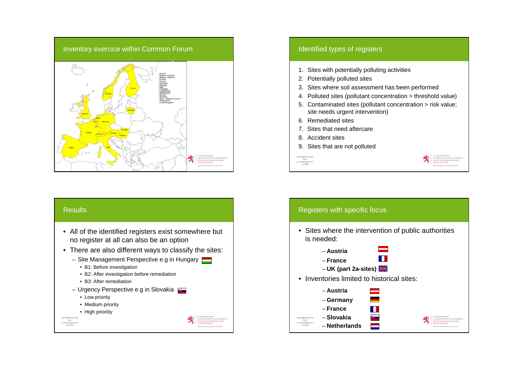

#### Results

- All of the identified registers exist somewhere but no register at all can also be an option
- There are also different ways to classify the sites:
	- Site Management Perspective e.g in Hungary
		- B1: Before investigation
		- B2: After investigation before remediation
		- B3: After remediation
	- Urgency Perspective e.g in Slovakia
	- Low priority
	- Medium priority
	- High prioritiy

Pour<br>um developpe<br>durable